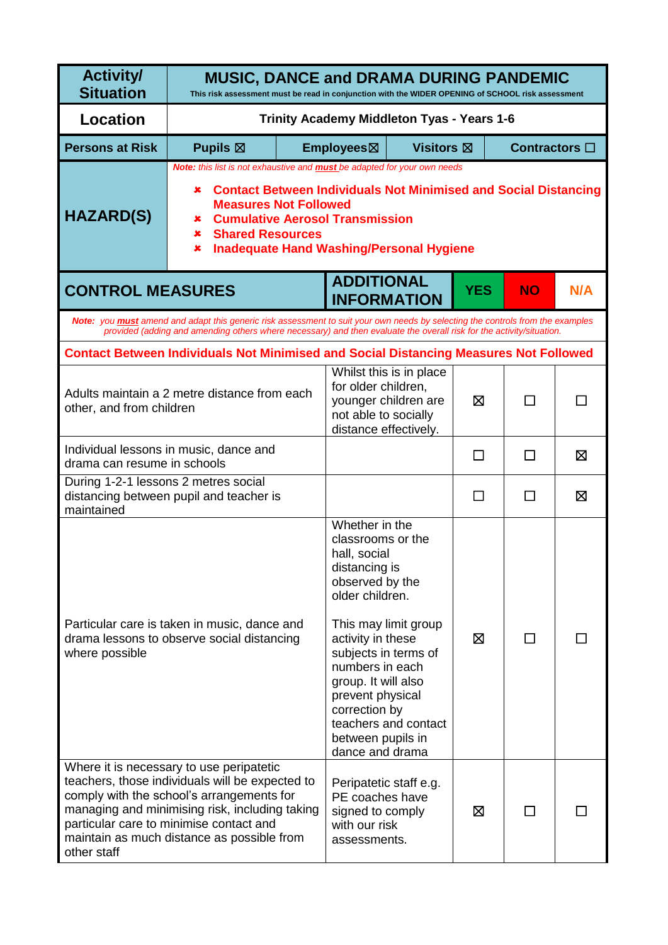| <b>Activity/</b><br><b>Situation</b>                                                                         | <b>MUSIC, DANCE and DRAMA DURING PANDEMIC</b><br>This risk assessment must be read in conjunction with the WIDER OPENING of SCHOOL risk assessment                                                                                                                                                                                     |                                                                                                                                                                                                                                                                                                                                |                                                                                                |              |                       |   |  |  |  |
|--------------------------------------------------------------------------------------------------------------|----------------------------------------------------------------------------------------------------------------------------------------------------------------------------------------------------------------------------------------------------------------------------------------------------------------------------------------|--------------------------------------------------------------------------------------------------------------------------------------------------------------------------------------------------------------------------------------------------------------------------------------------------------------------------------|------------------------------------------------------------------------------------------------|--------------|-----------------------|---|--|--|--|
| <b>Location</b>                                                                                              | Trinity Academy Middleton Tyas - Years 1-6                                                                                                                                                                                                                                                                                             |                                                                                                                                                                                                                                                                                                                                |                                                                                                |              |                       |   |  |  |  |
| <b>Persons at Risk</b>                                                                                       | <b>Pupils</b> $\boxtimes$                                                                                                                                                                                                                                                                                                              | <b>Visitors</b> ⊠<br>Employees⊠                                                                                                                                                                                                                                                                                                |                                                                                                |              | Contractors $\square$ |   |  |  |  |
| <b>HAZARD(S)</b>                                                                                             | Note: this list is not exhaustive and <b>must</b> be adapted for your own needs<br><b>Contact Between Individuals Not Minimised and Social Distancing</b><br>×.<br><b>Measures Not Followed</b><br><b>Cumulative Aerosol Transmission</b><br>×<br><b>Shared Resources</b><br>×<br><b>Inadequate Hand Washing/Personal Hygiene</b><br>× |                                                                                                                                                                                                                                                                                                                                |                                                                                                |              |                       |   |  |  |  |
| <b>ADDITIONAL</b><br><b>CONTROL MEASURES</b><br><b>YES</b><br>N/A<br><b>NO</b><br><b>INFORMATION</b>         |                                                                                                                                                                                                                                                                                                                                        |                                                                                                                                                                                                                                                                                                                                |                                                                                                |              |                       |   |  |  |  |
|                                                                                                              | Note: you <b>must</b> amend and adapt this generic risk assessment to suit your own needs by selecting the controls from the examples<br>provided (adding and amending others where necessary) and then evaluate the overall risk for the activity/situation.                                                                          |                                                                                                                                                                                                                                                                                                                                |                                                                                                |              |                       |   |  |  |  |
|                                                                                                              | <b>Contact Between Individuals Not Minimised and Social Distancing Measures Not Followed</b>                                                                                                                                                                                                                                           |                                                                                                                                                                                                                                                                                                                                |                                                                                                |              |                       |   |  |  |  |
| Adults maintain a 2 metre distance from each<br>other, and from children                                     |                                                                                                                                                                                                                                                                                                                                        | Whilst this is in place<br>for older children,<br>younger children are<br>not able to socially<br>distance effectively.                                                                                                                                                                                                        |                                                                                                | ⊠            |                       |   |  |  |  |
| Individual lessons in music, dance and<br>drama can resume in schools                                        |                                                                                                                                                                                                                                                                                                                                        |                                                                                                                                                                                                                                                                                                                                |                                                                                                | $\mathsf{L}$ | $\mathsf{L}$          | X |  |  |  |
| During 1-2-1 lessons 2 metres social<br>distancing between pupil and teacher is<br>maintained                |                                                                                                                                                                                                                                                                                                                                        |                                                                                                                                                                                                                                                                                                                                |                                                                                                | $\mathbf{I}$ | $\mathsf{L}$          | ⊠ |  |  |  |
| Particular care is taken in music, dance and<br>drama lessons to observe social distancing<br>where possible |                                                                                                                                                                                                                                                                                                                                        | Whether in the<br>classrooms or the<br>hall, social<br>distancing is<br>observed by the<br>older children.<br>This may limit group<br>activity in these<br>subjects in terms of<br>numbers in each<br>group. It will also<br>prevent physical<br>correction by<br>teachers and contact<br>between pupils in<br>dance and drama |                                                                                                | ⊠            | ΙI                    |   |  |  |  |
| other staff                                                                                                  | Where it is necessary to use peripatetic<br>teachers, those individuals will be expected to<br>comply with the school's arrangements for<br>managing and minimising risk, including taking<br>particular care to minimise contact and<br>maintain as much distance as possible from                                                    |                                                                                                                                                                                                                                                                                                                                | Peripatetic staff e.g.<br>PE coaches have<br>signed to comply<br>with our risk<br>assessments. |              | ⊠                     |   |  |  |  |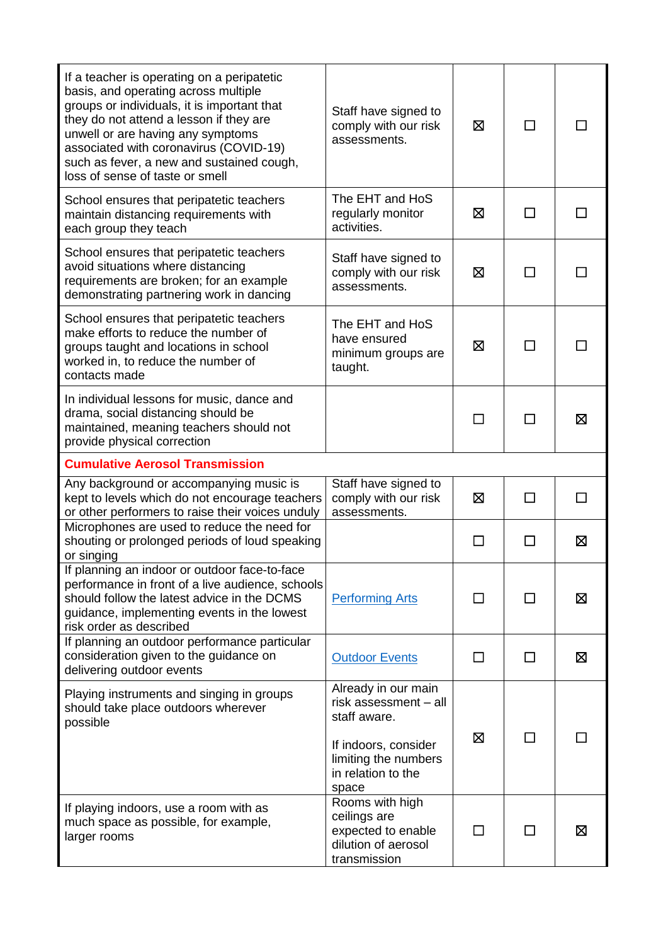| If a teacher is operating on a peripatetic<br>basis, and operating across multiple<br>groups or individuals, it is important that<br>they do not attend a lesson if they are<br>unwell or are having any symptoms<br>associated with coronavirus (COVID-19)<br>such as fever, a new and sustained cough,<br>loss of sense of taste or smell | Staff have signed to<br>comply with our risk<br>assessments.                                                                                | ⊠      | $\mathsf{L}$ |    |
|---------------------------------------------------------------------------------------------------------------------------------------------------------------------------------------------------------------------------------------------------------------------------------------------------------------------------------------------|---------------------------------------------------------------------------------------------------------------------------------------------|--------|--------------|----|
| School ensures that peripatetic teachers<br>maintain distancing requirements with<br>each group they teach                                                                                                                                                                                                                                  | The EHT and HoS<br>regularly monitor<br>activities.                                                                                         | ⊠      | $\mathbf{I}$ |    |
| School ensures that peripatetic teachers<br>avoid situations where distancing<br>requirements are broken; for an example<br>demonstrating partnering work in dancing                                                                                                                                                                        | Staff have signed to<br>comply with our risk<br>assessments.                                                                                | ⊠      |              |    |
| School ensures that peripatetic teachers<br>make efforts to reduce the number of<br>groups taught and locations in school<br>worked in, to reduce the number of<br>contacts made                                                                                                                                                            | The EHT and HoS<br>have ensured<br>minimum groups are<br>taught.                                                                            | ⊠      |              |    |
| In individual lessons for music, dance and<br>drama, social distancing should be<br>maintained, meaning teachers should not<br>provide physical correction                                                                                                                                                                                  |                                                                                                                                             | $\Box$ |              | ⊠  |
| <b>Cumulative Aerosol Transmission</b>                                                                                                                                                                                                                                                                                                      |                                                                                                                                             |        |              |    |
| Any background or accompanying music is<br>kept to levels which do not encourage teachers<br>or other performers to raise their voices unduly                                                                                                                                                                                               | Staff have signed to<br>comply with our risk<br>assessments.                                                                                | X      | П            | ΙI |
| Microphones are used to reduce the need for<br>shouting or prolonged periods of loud speaking<br>or singing                                                                                                                                                                                                                                 |                                                                                                                                             |        |              | ⊠  |
| If planning an indoor or outdoor face-to-face<br>performance in front of a live audience, schools<br>should follow the latest advice in the DCMS<br>guidance, implementing events in the lowest<br>risk order as described                                                                                                                  | <b>Performing Arts</b>                                                                                                                      | П      | ΙI           | 区  |
| If planning an outdoor performance particular<br>consideration given to the guidance on<br>delivering outdoor events                                                                                                                                                                                                                        | <b>Outdoor Events</b>                                                                                                                       | П      | П            | Σ  |
| Playing instruments and singing in groups<br>should take place outdoors wherever<br>possible                                                                                                                                                                                                                                                | Already in our main<br>risk assessment - all<br>staff aware.<br>If indoors, consider<br>limiting the numbers<br>in relation to the<br>space | ⊠      |              |    |
| If playing indoors, use a room with as<br>much space as possible, for example,<br>larger rooms                                                                                                                                                                                                                                              | Rooms with high<br>ceilings are<br>expected to enable<br>dilution of aerosol<br>transmission                                                | $\Box$ |              | ⊠  |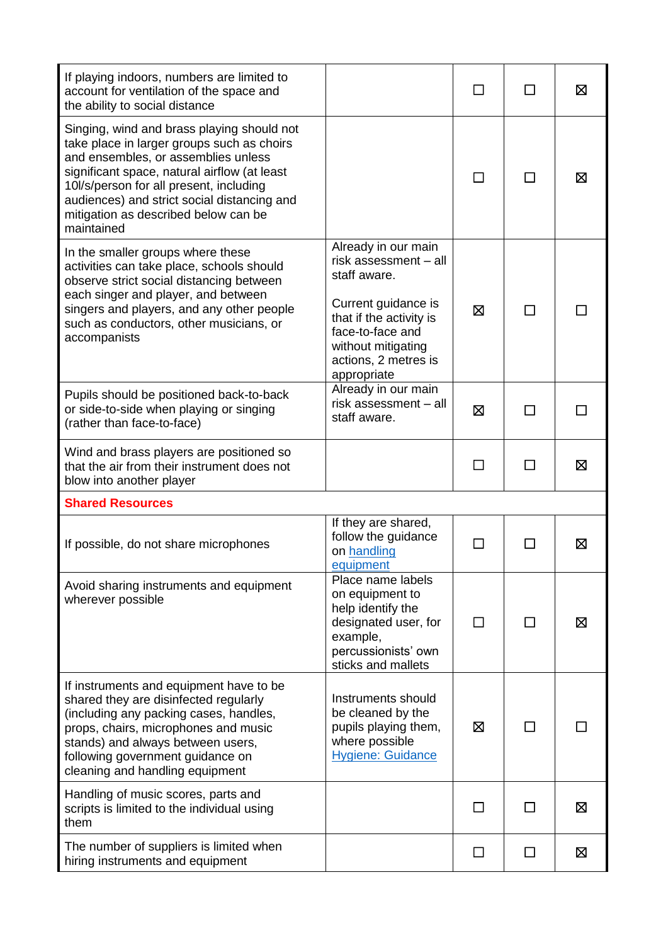| If playing indoors, numbers are limited to<br>account for ventilation of the space and<br>the ability to social distance                                                                                                                                                                                                        |                                                                                                                                                                                                 |        |        | ⊠ |
|---------------------------------------------------------------------------------------------------------------------------------------------------------------------------------------------------------------------------------------------------------------------------------------------------------------------------------|-------------------------------------------------------------------------------------------------------------------------------------------------------------------------------------------------|--------|--------|---|
| Singing, wind and brass playing should not<br>take place in larger groups such as choirs<br>and ensembles, or assemblies unless<br>significant space, natural airflow (at least<br>10l/s/person for all present, including<br>audiences) and strict social distancing and<br>mitigation as described below can be<br>maintained |                                                                                                                                                                                                 |        |        | ⊠ |
| In the smaller groups where these<br>activities can take place, schools should<br>observe strict social distancing between<br>each singer and player, and between<br>singers and players, and any other people<br>such as conductors, other musicians, or<br>accompanists                                                       | Already in our main<br>risk assessment - all<br>staff aware.<br>Current guidance is<br>that if the activity is<br>face-to-face and<br>without mitigating<br>actions, 2 metres is<br>appropriate | 区      |        |   |
| Pupils should be positioned back-to-back<br>or side-to-side when playing or singing<br>(rather than face-to-face)                                                                                                                                                                                                               | Already in our main<br>risk assessment - all<br>staff aware.                                                                                                                                    | ⊠      | ⊓      |   |
| Wind and brass players are positioned so<br>that the air from their instrument does not<br>blow into another player                                                                                                                                                                                                             |                                                                                                                                                                                                 |        |        | ⊠ |
| <b>Shared Resources</b>                                                                                                                                                                                                                                                                                                         |                                                                                                                                                                                                 |        |        |   |
| If possible, do not share microphones                                                                                                                                                                                                                                                                                           | If they are shared,<br>follow the guidance<br>on handling<br>equipment                                                                                                                          | □      | $\Box$ | ⊠ |
| Avoid sharing instruments and equipment<br>wherever possible                                                                                                                                                                                                                                                                    | Place name labels<br>on equipment to<br>help identify the<br>designated user, for<br>example,<br>percussionists' own<br>sticks and mallets                                                      | П      | ΙI     | Σ |
| If instruments and equipment have to be<br>shared they are disinfected regularly<br>(including any packing cases, handles,<br>props, chairs, microphones and music<br>stands) and always between users,<br>following government guidance on<br>cleaning and handling equipment                                                  | Instruments should<br>be cleaned by the<br>pupils playing them,<br>where possible<br><b>Hygiene: Guidance</b>                                                                                   | ⊠      | П      |   |
| Handling of music scores, parts and<br>scripts is limited to the individual using<br>them                                                                                                                                                                                                                                       |                                                                                                                                                                                                 | $\Box$ | П      | 区 |
| The number of suppliers is limited when<br>hiring instruments and equipment                                                                                                                                                                                                                                                     |                                                                                                                                                                                                 | П      | □      | 区 |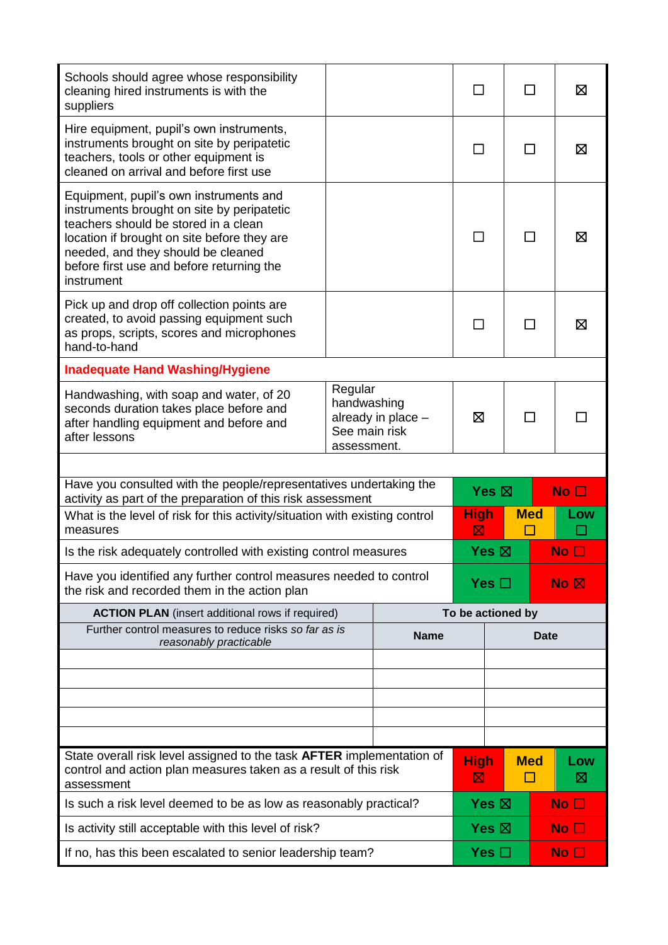| Schools should agree whose responsibility<br>cleaning hired instruments is with the<br>suppliers                                                                                                                                                                             |                                                                              |            |                   |             |                 | ⊠               |
|------------------------------------------------------------------------------------------------------------------------------------------------------------------------------------------------------------------------------------------------------------------------------|------------------------------------------------------------------------------|------------|-------------------|-------------|-----------------|-----------------|
| Hire equipment, pupil's own instruments,<br>instruments brought on site by peripatetic<br>teachers, tools or other equipment is<br>cleaned on arrival and before first use                                                                                                   |                                                                              |            |                   |             |                 | ⊠               |
| Equipment, pupil's own instruments and<br>instruments brought on site by peripatetic<br>teachers should be stored in a clean<br>location if brought on site before they are<br>needed, and they should be cleaned<br>before first use and before returning the<br>instrument |                                                                              |            |                   |             |                 | ⊠               |
| Pick up and drop off collection points are<br>created, to avoid passing equipment such<br>as props, scripts, scores and microphones<br>hand-to-hand                                                                                                                          |                                                                              |            |                   |             |                 | ⊠               |
| <b>Inadequate Hand Washing/Hygiene</b>                                                                                                                                                                                                                                       |                                                                              |            |                   |             |                 |                 |
| Handwashing, with soap and water, of 20<br>seconds duration takes place before and<br>after handling equipment and before and<br>after lessons                                                                                                                               | Regular<br>handwashing<br>already in place -<br>See main risk<br>assessment. |            | ⊠                 |             |                 |                 |
|                                                                                                                                                                                                                                                                              |                                                                              |            |                   |             |                 |                 |
| Have you consulted with the people/representatives undertaking the<br>activity as part of the preparation of this risk assessment                                                                                                                                            |                                                                              |            | Yes $\boxtimes$   |             |                 | No $\square$    |
| measures                                                                                                                                                                                                                                                                     | What is the level of risk for this activity/situation with existing control  |            |                   | <b>High</b> | <b>Med</b>      | Low             |
| Is the risk adequately controlled with existing control measures                                                                                                                                                                                                             |                                                                              |            | Yes $\boxtimes$   |             |                 | No $\Box$       |
| Have you identified any further control measures needed to control<br>the risk and recorded them in the action plan                                                                                                                                                          |                                                                              | Yes $\Box$ |                   | No R        |                 |                 |
| <b>ACTION PLAN</b> (insert additional rows if required)                                                                                                                                                                                                                      |                                                                              |            | To be actioned by |             |                 |                 |
| Further control measures to reduce risks so far as is<br><b>Name</b><br>reasonably practicable                                                                                                                                                                               |                                                                              |            | Date              |             |                 |                 |
|                                                                                                                                                                                                                                                                              |                                                                              |            |                   |             |                 |                 |
|                                                                                                                                                                                                                                                                              |                                                                              |            |                   |             |                 |                 |
|                                                                                                                                                                                                                                                                              |                                                                              |            |                   |             |                 |                 |
|                                                                                                                                                                                                                                                                              |                                                                              |            |                   |             |                 |                 |
| State overall risk level assigned to the task AFTER implementation of<br>control and action plan measures taken as a result of this risk<br>assessment                                                                                                                       |                                                                              |            | <b>High</b><br>⊠  |             | <b>Med</b><br>П | Low<br>⊠        |
| Is such a risk level deemed to be as low as reasonably practical?                                                                                                                                                                                                            |                                                                              |            | Yes $\boxtimes$   |             |                 | No <sub>1</sub> |
| Is activity still acceptable with this level of risk?                                                                                                                                                                                                                        |                                                                              |            | Yes $\boxtimes$   |             | No $\Box$       |                 |
| If no, has this been escalated to senior leadership team?                                                                                                                                                                                                                    |                                                                              |            | Yes $\Box$        |             |                 | No $\square$    |